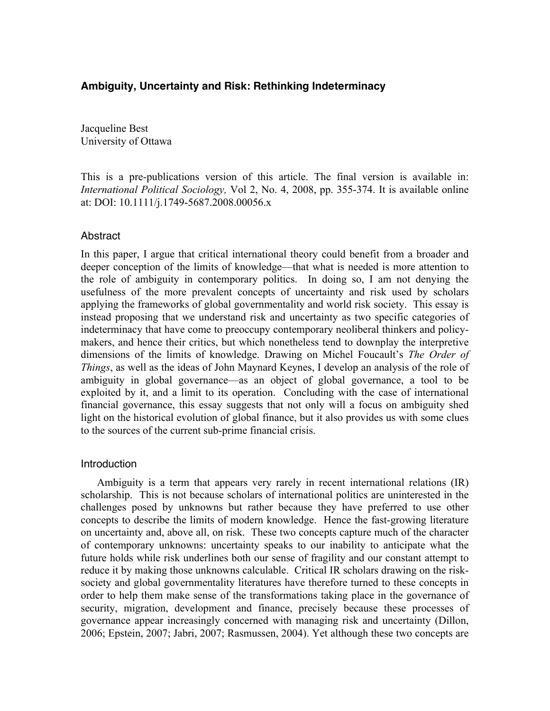# **Ambiguity, Uncertainty and Risk: Rethinking Indeterminacy**

Jacqueline Best University of Ottawa

This is a pre-publications version of this article. The final version is available in: *International Political Sociology,* Vol 2, No. 4, 2008, pp. 355-374. It is available online at: DOI: 10.1111/j.1749-5687.2008.00056.x

# **Abstract**

In this paper, I argue that critical international theory could benefit from a broader and deeper conception of the limits of knowledge—that what is needed is more attention to the role of ambiguity in contemporary politics. In doing so, I am not denying the usefulness of the more prevalent concepts of uncertainty and risk used by scholars applying the frameworks of global governmentality and world risk society. This essay is instead proposing that we understand risk and uncertainty as two specific categories of indeterminacy that have come to preoccupy contemporary neoliberal thinkers and policymakers, and hence their critics, but which nonetheless tend to downplay the interpretive dimensions of the limits of knowledge. Drawing on Michel Foucault's *The Order of Things*, as well as the ideas of John Maynard Keynes, I develop an analysis of the role of ambiguity in global governance—as an object of global governance, a tool to be exploited by it, and a limit to its operation. Concluding with the case of international financial governance, this essay suggests that not only will a focus on ambiguity shed light on the historical evolution of global finance, but it also provides us with some clues to the sources of the current sub-prime financial crisis.

### Introduction

Ambiguity is a term that appears very rarely in recent international relations (IR) scholarship. This is not because scholars of international politics are uninterested in the challenges posed by unknowns but rather because they have preferred to use other concepts to describe the limits of modern knowledge. Hence the fast-growing literature on uncertainty and, above all, on risk. These two concepts capture much of the character of contemporary unknowns: uncertainty speaks to our inability to anticipate what the future holds while risk underlines both our sense of fragility and our constant attempt to reduce it by making those unknowns calculable. Critical IR scholars drawing on the risksociety and global governmentality literatures have therefore turned to these concepts in order to help them make sense of the transformations taking place in the governance of security, migration, development and finance, precisely because these processes of governance appear increasingly concerned with managing risk and uncertainty (Dillon, 2006; Epstein, 2007; Jabri, 2007; Rasmussen, 2004). Yet although these two concepts are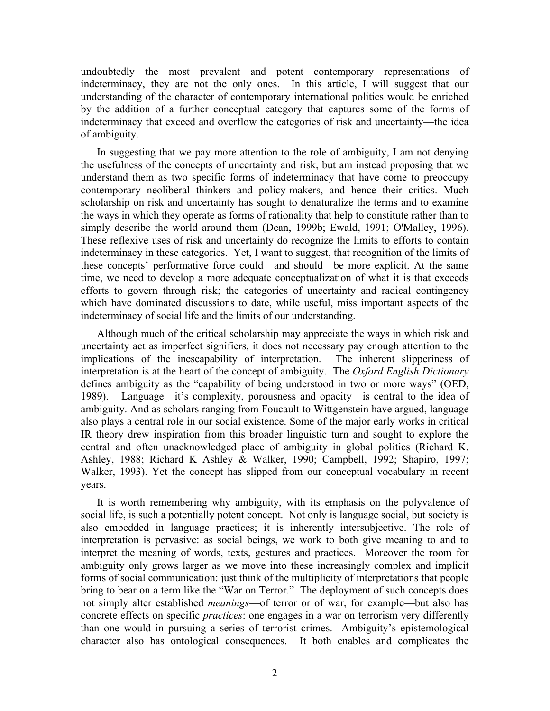undoubtedly the most prevalent and potent contemporary representations of indeterminacy, they are not the only ones. In this article, I will suggest that our understanding of the character of contemporary international politics would be enriched by the addition of a further conceptual category that captures some of the forms of indeterminacy that exceed and overflow the categories of risk and uncertainty—the idea of ambiguity.

In suggesting that we pay more attention to the role of ambiguity, I am not denying the usefulness of the concepts of uncertainty and risk, but am instead proposing that we understand them as two specific forms of indeterminacy that have come to preoccupy contemporary neoliberal thinkers and policy-makers, and hence their critics. Much scholarship on risk and uncertainty has sought to denaturalize the terms and to examine the ways in which they operate as forms of rationality that help to constitute rather than to simply describe the world around them (Dean, 1999b; Ewald, 1991; O'Malley, 1996). These reflexive uses of risk and uncertainty do recognize the limits to efforts to contain indeterminacy in these categories. Yet, I want to suggest, that recognition of the limits of these concepts' performative force could—and should—be more explicit. At the same time, we need to develop a more adequate conceptualization of what it is that exceeds efforts to govern through risk; the categories of uncertainty and radical contingency which have dominated discussions to date, while useful, miss important aspects of the indeterminacy of social life and the limits of our understanding.

Although much of the critical scholarship may appreciate the ways in which risk and uncertainty act as imperfect signifiers, it does not necessary pay enough attention to the implications of the inescapability of interpretation. The inherent slipperiness of interpretation is at the heart of the concept of ambiguity. The *Oxford English Dictionary* defines ambiguity as the "capability of being understood in two or more ways" (OED, 1989). Language—it's complexity, porousness and opacity—is central to the idea of ambiguity. And as scholars ranging from Foucault to Wittgenstein have argued, language also plays a central role in our social existence. Some of the major early works in critical IR theory drew inspiration from this broader linguistic turn and sought to explore the central and often unacknowledged place of ambiguity in global politics (Richard K. Ashley, 1988; Richard K Ashley & Walker, 1990; Campbell, 1992; Shapiro, 1997; Walker, 1993). Yet the concept has slipped from our conceptual vocabulary in recent years.

It is worth remembering why ambiguity, with its emphasis on the polyvalence of social life, is such a potentially potent concept. Not only is language social, but society is also embedded in language practices; it is inherently intersubjective. The role of interpretation is pervasive: as social beings, we work to both give meaning to and to interpret the meaning of words, texts, gestures and practices. Moreover the room for ambiguity only grows larger as we move into these increasingly complex and implicit forms of social communication: just think of the multiplicity of interpretations that people bring to bear on a term like the "War on Terror." The deployment of such concepts does not simply alter established *meanings*—of terror or of war, for example—but also has concrete effects on specific *practices*: one engages in a war on terrorism very differently than one would in pursuing a series of terrorist crimes. Ambiguity's epistemological character also has ontological consequences. It both enables and complicates the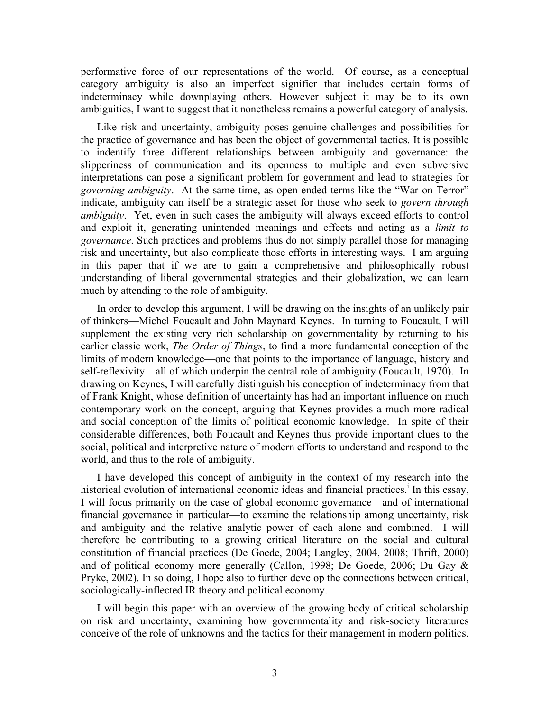performative force of our representations of the world. Of course, as a conceptual category ambiguity is also an imperfect signifier that includes certain forms of indeterminacy while downplaying others. However subject it may be to its own ambiguities, I want to suggest that it nonetheless remains a powerful category of analysis.

Like risk and uncertainty, ambiguity poses genuine challenges and possibilities for the practice of governance and has been the object of governmental tactics. It is possible to indentify three different relationships between ambiguity and governance: the slipperiness of communication and its openness to multiple and even subversive interpretations can pose a significant problem for government and lead to strategies for *governing ambiguity*. At the same time, as open-ended terms like the "War on Terror" indicate, ambiguity can itself be a strategic asset for those who seek to *govern through ambiguity*. Yet, even in such cases the ambiguity will always exceed efforts to control and exploit it, generating unintended meanings and effects and acting as a *limit to governance*. Such practices and problems thus do not simply parallel those for managing risk and uncertainty, but also complicate those efforts in interesting ways. I am arguing in this paper that if we are to gain a comprehensive and philosophically robust understanding of liberal governmental strategies and their globalization, we can learn much by attending to the role of ambiguity.

In order to develop this argument, I will be drawing on the insights of an unlikely pair of thinkers—Michel Foucault and John Maynard Keynes. In turning to Foucault, I will supplement the existing very rich scholarship on governmentality by returning to his earlier classic work, *The Order of Things*, to find a more fundamental conception of the limits of modern knowledge—one that points to the importance of language, history and self-reflexivity—all of which underpin the central role of ambiguity (Foucault, 1970). In drawing on Keynes, I will carefully distinguish his conception of indeterminacy from that of Frank Knight, whose definition of uncertainty has had an important influence on much contemporary work on the concept, arguing that Keynes provides a much more radical and social conception of the limits of political economic knowledge. In spite of their considerable differences, both Foucault and Keynes thus provide important clues to the social, political and interpretive nature of modern efforts to understand and respond to the world, and thus to the role of ambiguity.

I have developed this concept of ambiguity in the context of my research into the historical evolution of international economic ideas and financial practices.<sup>i</sup> In this essay, I will focus primarily on the case of global economic governance—and of international financial governance in particular—to examine the relationship among uncertainty, risk and ambiguity and the relative analytic power of each alone and combined. I will therefore be contributing to a growing critical literature on the social and cultural constitution of financial practices (De Goede, 2004; Langley, 2004, 2008; Thrift, 2000) and of political economy more generally (Callon, 1998; De Goede, 2006; Du Gay & Pryke, 2002). In so doing, I hope also to further develop the connections between critical, sociologically-inflected IR theory and political economy.

I will begin this paper with an overview of the growing body of critical scholarship on risk and uncertainty, examining how governmentality and risk-society literatures conceive of the role of unknowns and the tactics for their management in modern politics.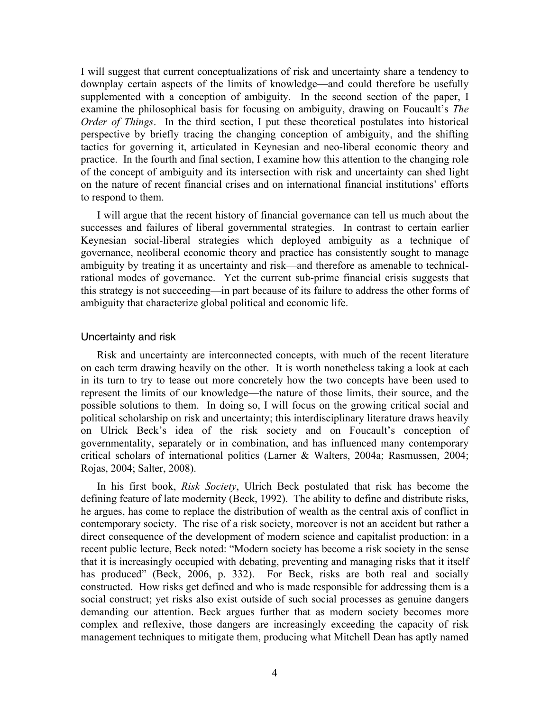I will suggest that current conceptualizations of risk and uncertainty share a tendency to downplay certain aspects of the limits of knowledge—and could therefore be usefully supplemented with a conception of ambiguity. In the second section of the paper, I examine the philosophical basis for focusing on ambiguity, drawing on Foucault's *The Order of Things*. In the third section, I put these theoretical postulates into historical perspective by briefly tracing the changing conception of ambiguity, and the shifting tactics for governing it, articulated in Keynesian and neo-liberal economic theory and practice. In the fourth and final section, I examine how this attention to the changing role of the concept of ambiguity and its intersection with risk and uncertainty can shed light on the nature of recent financial crises and on international financial institutions' efforts to respond to them.

I will argue that the recent history of financial governance can tell us much about the successes and failures of liberal governmental strategies. In contrast to certain earlier Keynesian social-liberal strategies which deployed ambiguity as a technique of governance, neoliberal economic theory and practice has consistently sought to manage ambiguity by treating it as uncertainty and risk—and therefore as amenable to technicalrational modes of governance. Yet the current sub-prime financial crisis suggests that this strategy is not succeeding—in part because of its failure to address the other forms of ambiguity that characterize global political and economic life.

### Uncertainty and risk

Risk and uncertainty are interconnected concepts, with much of the recent literature on each term drawing heavily on the other. It is worth nonetheless taking a look at each in its turn to try to tease out more concretely how the two concepts have been used to represent the limits of our knowledge—the nature of those limits, their source, and the possible solutions to them. In doing so, I will focus on the growing critical social and political scholarship on risk and uncertainty; this interdisciplinary literature draws heavily on Ulrick Beck's idea of the risk society and on Foucault's conception of governmentality, separately or in combination, and has influenced many contemporary critical scholars of international politics (Larner & Walters, 2004a; Rasmussen, 2004; Rojas, 2004; Salter, 2008).

In his first book, *Risk Society*, Ulrich Beck postulated that risk has become the defining feature of late modernity (Beck, 1992). The ability to define and distribute risks, he argues, has come to replace the distribution of wealth as the central axis of conflict in contemporary society. The rise of a risk society, moreover is not an accident but rather a direct consequence of the development of modern science and capitalist production: in a recent public lecture, Beck noted: "Modern society has become a risk society in the sense that it is increasingly occupied with debating, preventing and managing risks that it itself has produced" (Beck, 2006, p. 332). For Beck, risks are both real and socially constructed. How risks get defined and who is made responsible for addressing them is a social construct; yet risks also exist outside of such social processes as genuine dangers demanding our attention. Beck argues further that as modern society becomes more complex and reflexive, those dangers are increasingly exceeding the capacity of risk management techniques to mitigate them, producing what Mitchell Dean has aptly named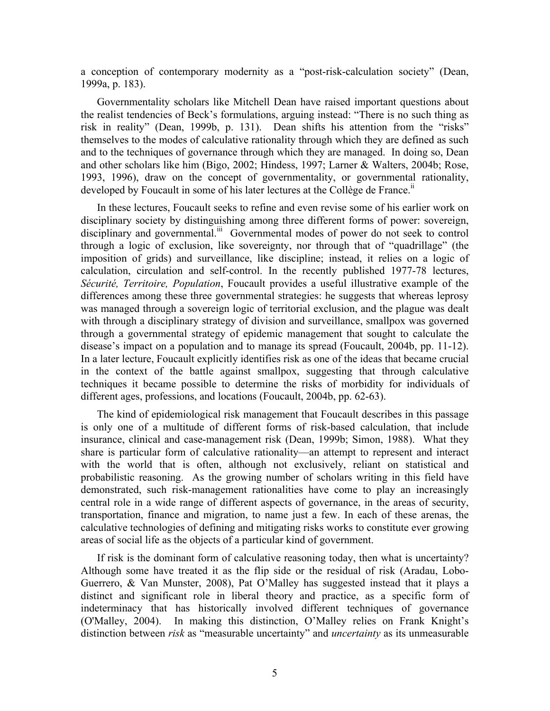a conception of contemporary modernity as a "post-risk-calculation society" (Dean, 1999a, p. 183).

Governmentality scholars like Mitchell Dean have raised important questions about the realist tendencies of Beck's formulations, arguing instead: "There is no such thing as risk in reality" (Dean, 1999b, p. 131). Dean shifts his attention from the "risks" themselves to the modes of calculative rationality through which they are defined as such and to the techniques of governance through which they are managed. In doing so, Dean and other scholars like him (Bigo, 2002; Hindess, 1997; Larner & Walters, 2004b; Rose, 1993, 1996), draw on the concept of governmentality, or governmental rationality, developed by Foucault in some of his later lectures at the Collège de France.<sup>ii</sup>

In these lectures, Foucault seeks to refine and even revise some of his earlier work on disciplinary society by distinguishing among three different forms of power: sovereign, disciplinary and governmental.<sup>iii</sup> Governmental modes of power do not seek to control through a logic of exclusion, like sovereignty, nor through that of "quadrillage" (the imposition of grids) and surveillance, like discipline; instead, it relies on a logic of calculation, circulation and self-control. In the recently published 1977-78 lectures, *Sécurité, Territoire, Population*, Foucault provides a useful illustrative example of the differences among these three governmental strategies: he suggests that whereas leprosy was managed through a sovereign logic of territorial exclusion, and the plague was dealt with through a disciplinary strategy of division and surveillance, smallpox was governed through a governmental strategy of epidemic management that sought to calculate the disease's impact on a population and to manage its spread (Foucault, 2004b, pp. 11-12). In a later lecture, Foucault explicitly identifies risk as one of the ideas that became crucial in the context of the battle against smallpox, suggesting that through calculative techniques it became possible to determine the risks of morbidity for individuals of different ages, professions, and locations (Foucault, 2004b, pp. 62-63).

The kind of epidemiological risk management that Foucault describes in this passage is only one of a multitude of different forms of risk-based calculation, that include insurance, clinical and case-management risk (Dean, 1999b; Simon, 1988). What they share is particular form of calculative rationality—an attempt to represent and interact with the world that is often, although not exclusively, reliant on statistical and probabilistic reasoning. As the growing number of scholars writing in this field have demonstrated, such risk-management rationalities have come to play an increasingly central role in a wide range of different aspects of governance, in the areas of security, transportation, finance and migration, to name just a few. In each of these arenas, the calculative technologies of defining and mitigating risks works to constitute ever growing areas of social life as the objects of a particular kind of government.

If risk is the dominant form of calculative reasoning today, then what is uncertainty? Although some have treated it as the flip side or the residual of risk (Aradau, Lobo-Guerrero, & Van Munster, 2008), Pat O'Malley has suggested instead that it plays a distinct and significant role in liberal theory and practice, as a specific form of indeterminacy that has historically involved different techniques of governance (O'Malley, 2004). In making this distinction, O'Malley relies on Frank Knight's distinction between *risk* as "measurable uncertainty" and *uncertainty* as its unmeasurable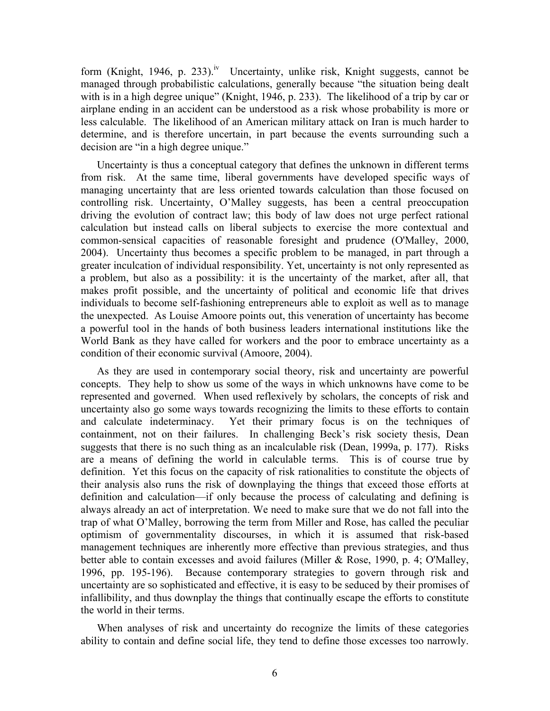form (Knight, 1946, p. 233).<sup>iv</sup> Uncertainty, unlike risk, Knight suggests, cannot be managed through probabilistic calculations, generally because "the situation being dealt with is in a high degree unique" (Knight, 1946, p. 233). The likelihood of a trip by car or airplane ending in an accident can be understood as a risk whose probability is more or less calculable. The likelihood of an American military attack on Iran is much harder to determine, and is therefore uncertain, in part because the events surrounding such a decision are "in a high degree unique."

Uncertainty is thus a conceptual category that defines the unknown in different terms from risk. At the same time, liberal governments have developed specific ways of managing uncertainty that are less oriented towards calculation than those focused on controlling risk. Uncertainty, O'Malley suggests, has been a central preoccupation driving the evolution of contract law; this body of law does not urge perfect rational calculation but instead calls on liberal subjects to exercise the more contextual and common-sensical capacities of reasonable foresight and prudence (O'Malley, 2000, 2004). Uncertainty thus becomes a specific problem to be managed, in part through a greater inculcation of individual responsibility. Yet, uncertainty is not only represented as a problem, but also as a possibility: it is the uncertainty of the market, after all, that makes profit possible, and the uncertainty of political and economic life that drives individuals to become self-fashioning entrepreneurs able to exploit as well as to manage the unexpected. As Louise Amoore points out, this veneration of uncertainty has become a powerful tool in the hands of both business leaders international institutions like the World Bank as they have called for workers and the poor to embrace uncertainty as a condition of their economic survival (Amoore, 2004).

As they are used in contemporary social theory, risk and uncertainty are powerful concepts. They help to show us some of the ways in which unknowns have come to be represented and governed. When used reflexively by scholars, the concepts of risk and uncertainty also go some ways towards recognizing the limits to these efforts to contain and calculate indeterminacy. Yet their primary focus is on the techniques of containment, not on their failures. In challenging Beck's risk society thesis, Dean suggests that there is no such thing as an incalculable risk (Dean, 1999a, p. 177). Risks are a means of defining the world in calculable terms. This is of course true by definition. Yet this focus on the capacity of risk rationalities to constitute the objects of their analysis also runs the risk of downplaying the things that exceed those efforts at definition and calculation—if only because the process of calculating and defining is always already an act of interpretation. We need to make sure that we do not fall into the trap of what O'Malley, borrowing the term from Miller and Rose, has called the peculiar optimism of governmentality discourses, in which it is assumed that risk-based management techniques are inherently more effective than previous strategies, and thus better able to contain excesses and avoid failures (Miller & Rose, 1990, p. 4; O'Malley, 1996, pp. 195-196). Because contemporary strategies to govern through risk and uncertainty are so sophisticated and effective, it is easy to be seduced by their promises of infallibility, and thus downplay the things that continually escape the efforts to constitute the world in their terms.

When analyses of risk and uncertainty do recognize the limits of these categories ability to contain and define social life, they tend to define those excesses too narrowly.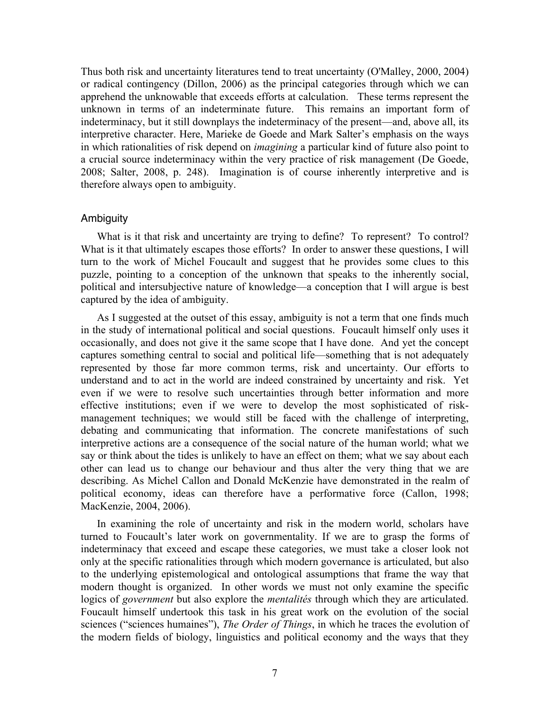Thus both risk and uncertainty literatures tend to treat uncertainty (O'Malley, 2000, 2004) or radical contingency (Dillon, 2006) as the principal categories through which we can apprehend the unknowable that exceeds efforts at calculation. These terms represent the unknown in terms of an indeterminate future. This remains an important form of indeterminacy, but it still downplays the indeterminacy of the present—and, above all, its interpretive character. Here, Marieke de Goede and Mark Salter's emphasis on the ways in which rationalities of risk depend on *imagining* a particular kind of future also point to a crucial source indeterminacy within the very practice of risk management (De Goede, 2008; Salter, 2008, p. 248). Imagination is of course inherently interpretive and is therefore always open to ambiguity.

# **Ambiguity**

What is it that risk and uncertainty are trying to define? To represent? To control? What is it that ultimately escapes those efforts? In order to answer these questions, I will turn to the work of Michel Foucault and suggest that he provides some clues to this puzzle, pointing to a conception of the unknown that speaks to the inherently social, political and intersubjective nature of knowledge—a conception that I will argue is best captured by the idea of ambiguity.

As I suggested at the outset of this essay, ambiguity is not a term that one finds much in the study of international political and social questions. Foucault himself only uses it occasionally, and does not give it the same scope that I have done. And yet the concept captures something central to social and political life—something that is not adequately represented by those far more common terms, risk and uncertainty. Our efforts to understand and to act in the world are indeed constrained by uncertainty and risk. Yet even if we were to resolve such uncertainties through better information and more effective institutions; even if we were to develop the most sophisticated of riskmanagement techniques; we would still be faced with the challenge of interpreting, debating and communicating that information. The concrete manifestations of such interpretive actions are a consequence of the social nature of the human world; what we say or think about the tides is unlikely to have an effect on them; what we say about each other can lead us to change our behaviour and thus alter the very thing that we are describing. As Michel Callon and Donald McKenzie have demonstrated in the realm of political economy, ideas can therefore have a performative force (Callon, 1998; MacKenzie, 2004, 2006).

In examining the role of uncertainty and risk in the modern world, scholars have turned to Foucault's later work on governmentality. If we are to grasp the forms of indeterminacy that exceed and escape these categories, we must take a closer look not only at the specific rationalities through which modern governance is articulated, but also to the underlying epistemological and ontological assumptions that frame the way that modern thought is organized. In other words we must not only examine the specific logics of *government* but also explore the *mentalités* through which they are articulated. Foucault himself undertook this task in his great work on the evolution of the social sciences ("sciences humaines"), *The Order of Things*, in which he traces the evolution of the modern fields of biology, linguistics and political economy and the ways that they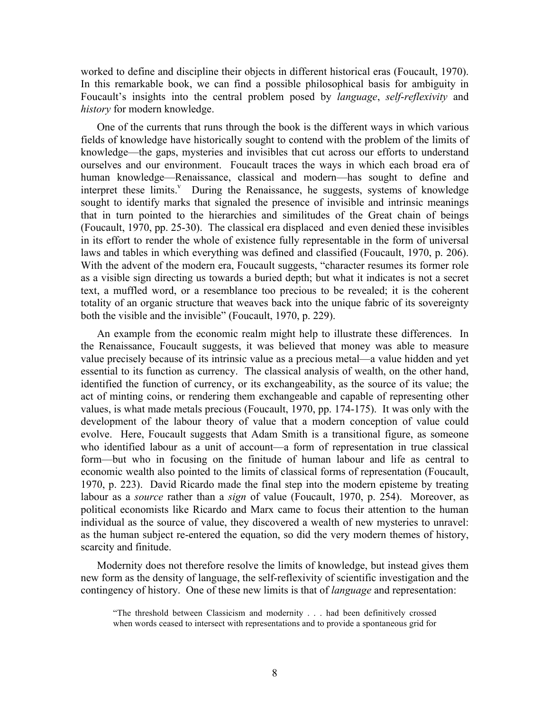worked to define and discipline their objects in different historical eras (Foucault, 1970). In this remarkable book, we can find a possible philosophical basis for ambiguity in Foucault's insights into the central problem posed by *language*, *self*-*reflexivity* and *history* for modern knowledge.

One of the currents that runs through the book is the different ways in which various fields of knowledge have historically sought to contend with the problem of the limits of knowledge—the gaps, mysteries and invisibles that cut across our efforts to understand ourselves and our environment. Foucault traces the ways in which each broad era of human knowledge—Renaissance, classical and modern—has sought to define and interpret these limits.<sup>v</sup> During the Renaissance, he suggests, systems of knowledge sought to identify marks that signaled the presence of invisible and intrinsic meanings that in turn pointed to the hierarchies and similitudes of the Great chain of beings (Foucault, 1970, pp. 25-30). The classical era displaced and even denied these invisibles in its effort to render the whole of existence fully representable in the form of universal laws and tables in which everything was defined and classified (Foucault, 1970, p. 206). With the advent of the modern era, Foucault suggests, "character resumes its former role as a visible sign directing us towards a buried depth; but what it indicates is not a secret text, a muffled word, or a resemblance too precious to be revealed; it is the coherent totality of an organic structure that weaves back into the unique fabric of its sovereignty both the visible and the invisible" (Foucault, 1970, p. 229).

An example from the economic realm might help to illustrate these differences. In the Renaissance, Foucault suggests, it was believed that money was able to measure value precisely because of its intrinsic value as a precious metal—a value hidden and yet essential to its function as currency. The classical analysis of wealth, on the other hand, identified the function of currency, or its exchangeability, as the source of its value; the act of minting coins, or rendering them exchangeable and capable of representing other values, is what made metals precious (Foucault, 1970, pp. 174-175). It was only with the development of the labour theory of value that a modern conception of value could evolve. Here, Foucault suggests that Adam Smith is a transitional figure, as someone who identified labour as a unit of account—a form of representation in true classical form—but who in focusing on the finitude of human labour and life as central to economic wealth also pointed to the limits of classical forms of representation (Foucault, 1970, p. 223). David Ricardo made the final step into the modern episteme by treating labour as a *source* rather than a *sign* of value (Foucault, 1970, p. 254). Moreover, as political economists like Ricardo and Marx came to focus their attention to the human individual as the source of value, they discovered a wealth of new mysteries to unravel: as the human subject re-entered the equation, so did the very modern themes of history, scarcity and finitude.

Modernity does not therefore resolve the limits of knowledge, but instead gives them new form as the density of language, the self-reflexivity of scientific investigation and the contingency of history. One of these new limits is that of *language* and representation:

<sup>&</sup>quot;The threshold between Classicism and modernity . . . had been definitively crossed when words ceased to intersect with representations and to provide a spontaneous grid for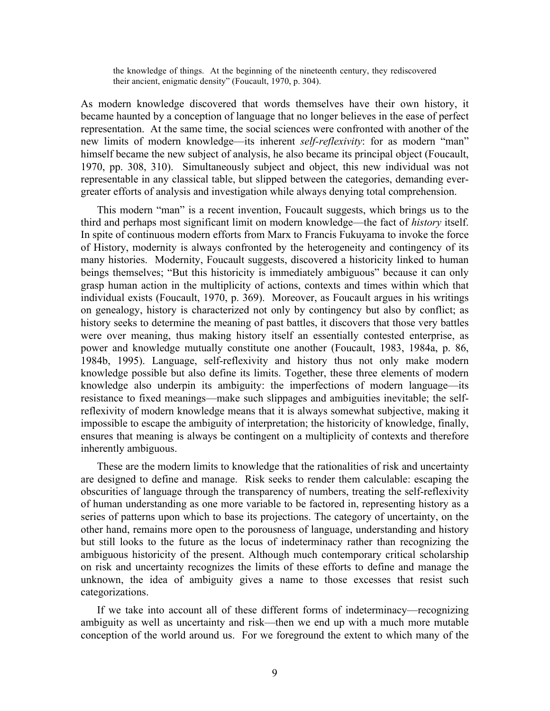the knowledge of things. At the beginning of the nineteenth century, they rediscovered their ancient, enigmatic density" (Foucault, 1970, p. 304).

As modern knowledge discovered that words themselves have their own history, it became haunted by a conception of language that no longer believes in the ease of perfect representation. At the same time, the social sciences were confronted with another of the new limits of modern knowledge—its inherent *self-reflexivity*: for as modern "man" himself became the new subject of analysis, he also became its principal object (Foucault, 1970, pp. 308, 310). Simultaneously subject and object, this new individual was not representable in any classical table, but slipped between the categories, demanding evergreater efforts of analysis and investigation while always denying total comprehension.

This modern "man" is a recent invention, Foucault suggests, which brings us to the third and perhaps most significant limit on modern knowledge—the fact of *history* itself. In spite of continuous modern efforts from Marx to Francis Fukuyama to invoke the force of History, modernity is always confronted by the heterogeneity and contingency of its many histories. Modernity, Foucault suggests, discovered a historicity linked to human beings themselves; "But this historicity is immediately ambiguous" because it can only grasp human action in the multiplicity of actions, contexts and times within which that individual exists (Foucault, 1970, p. 369). Moreover, as Foucault argues in his writings on genealogy, history is characterized not only by contingency but also by conflict; as history seeks to determine the meaning of past battles, it discovers that those very battles were over meaning, thus making history itself an essentially contested enterprise, as power and knowledge mutually constitute one another (Foucault, 1983, 1984a, p. 86, 1984b, 1995). Language, self-reflexivity and history thus not only make modern knowledge possible but also define its limits. Together, these three elements of modern knowledge also underpin its ambiguity: the imperfections of modern language—its resistance to fixed meanings—make such slippages and ambiguities inevitable; the selfreflexivity of modern knowledge means that it is always somewhat subjective, making it impossible to escape the ambiguity of interpretation; the historicity of knowledge, finally, ensures that meaning is always be contingent on a multiplicity of contexts and therefore inherently ambiguous.

These are the modern limits to knowledge that the rationalities of risk and uncertainty are designed to define and manage. Risk seeks to render them calculable: escaping the obscurities of language through the transparency of numbers, treating the self-reflexivity of human understanding as one more variable to be factored in, representing history as a series of patterns upon which to base its projections. The category of uncertainty, on the other hand, remains more open to the porousness of language, understanding and history but still looks to the future as the locus of indeterminacy rather than recognizing the ambiguous historicity of the present. Although much contemporary critical scholarship on risk and uncertainty recognizes the limits of these efforts to define and manage the unknown, the idea of ambiguity gives a name to those excesses that resist such categorizations.

If we take into account all of these different forms of indeterminacy—recognizing ambiguity as well as uncertainty and risk—then we end up with a much more mutable conception of the world around us. For we foreground the extent to which many of the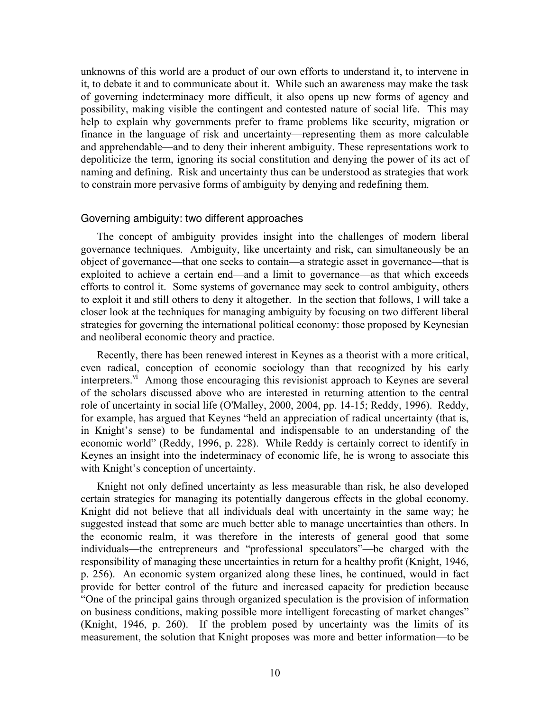unknowns of this world are a product of our own efforts to understand it, to intervene in it, to debate it and to communicate about it. While such an awareness may make the task of governing indeterminacy more difficult, it also opens up new forms of agency and possibility, making visible the contingent and contested nature of social life. This may help to explain why governments prefer to frame problems like security, migration or finance in the language of risk and uncertainty—representing them as more calculable and apprehendable—and to deny their inherent ambiguity. These representations work to depoliticize the term, ignoring its social constitution and denying the power of its act of naming and defining. Risk and uncertainty thus can be understood as strategies that work to constrain more pervasive forms of ambiguity by denying and redefining them.

# Governing ambiguity: two different approaches

The concept of ambiguity provides insight into the challenges of modern liberal governance techniques. Ambiguity, like uncertainty and risk, can simultaneously be an object of governance—that one seeks to contain—a strategic asset in governance—that is exploited to achieve a certain end—and a limit to governance—as that which exceeds efforts to control it. Some systems of governance may seek to control ambiguity, others to exploit it and still others to deny it altogether. In the section that follows, I will take a closer look at the techniques for managing ambiguity by focusing on two different liberal strategies for governing the international political economy: those proposed by Keynesian and neoliberal economic theory and practice.

Recently, there has been renewed interest in Keynes as a theorist with a more critical, even radical, conception of economic sociology than that recognized by his early interpreters.<sup>vi</sup> Among those encouraging this revisionist approach to Keynes are several of the scholars discussed above who are interested in returning attention to the central role of uncertainty in social life (O'Malley, 2000, 2004, pp. 14-15; Reddy, 1996). Reddy, for example, has argued that Keynes "held an appreciation of radical uncertainty (that is, in Knight's sense) to be fundamental and indispensable to an understanding of the economic world" (Reddy, 1996, p. 228). While Reddy is certainly correct to identify in Keynes an insight into the indeterminacy of economic life, he is wrong to associate this with Knight's conception of uncertainty.

Knight not only defined uncertainty as less measurable than risk, he also developed certain strategies for managing its potentially dangerous effects in the global economy. Knight did not believe that all individuals deal with uncertainty in the same way; he suggested instead that some are much better able to manage uncertainties than others. In the economic realm, it was therefore in the interests of general good that some individuals—the entrepreneurs and "professional speculators"—be charged with the responsibility of managing these uncertainties in return for a healthy profit (Knight, 1946, p. 256). An economic system organized along these lines, he continued, would in fact provide for better control of the future and increased capacity for prediction because "One of the principal gains through organized speculation is the provision of information on business conditions, making possible more intelligent forecasting of market changes" (Knight, 1946, p. 260). If the problem posed by uncertainty was the limits of its measurement, the solution that Knight proposes was more and better information—to be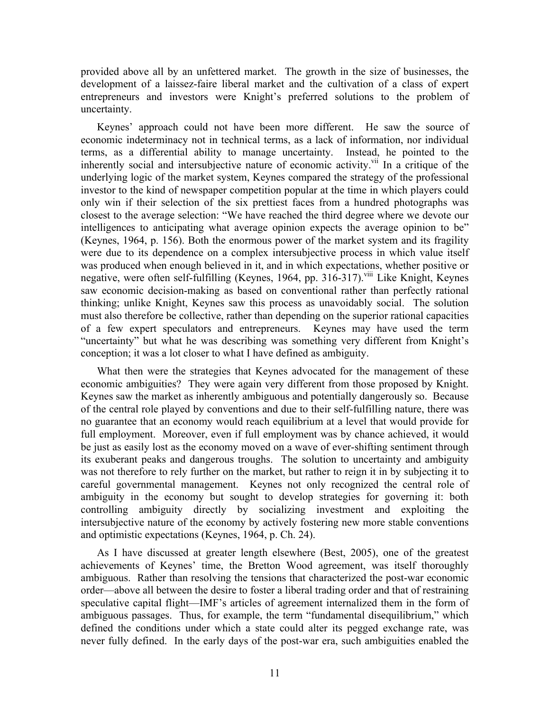provided above all by an unfettered market. The growth in the size of businesses, the development of a laissez-faire liberal market and the cultivation of a class of expert entrepreneurs and investors were Knight's preferred solutions to the problem of uncertainty.

Keynes' approach could not have been more different. He saw the source of economic indeterminacy not in technical terms, as a lack of information, nor individual terms, as a differential ability to manage uncertainty. Instead, he pointed to the inherently social and intersubjective nature of economic activity.<sup>vii</sup> In a critique of the underlying logic of the market system, Keynes compared the strategy of the professional investor to the kind of newspaper competition popular at the time in which players could only win if their selection of the six prettiest faces from a hundred photographs was closest to the average selection: "We have reached the third degree where we devote our intelligences to anticipating what average opinion expects the average opinion to be" (Keynes, 1964, p. 156). Both the enormous power of the market system and its fragility were due to its dependence on a complex intersubjective process in which value itself was produced when enough believed in it, and in which expectations, whether positive or negative, were often self-fulfilling (Keynes, 1964, pp. 316-317).<sup>viii</sup> Like Knight, Keynes saw economic decision-making as based on conventional rather than perfectly rational thinking; unlike Knight, Keynes saw this process as unavoidably social. The solution must also therefore be collective, rather than depending on the superior rational capacities of a few expert speculators and entrepreneurs. Keynes may have used the term "uncertainty" but what he was describing was something very different from Knight's conception; it was a lot closer to what I have defined as ambiguity.

What then were the strategies that Keynes advocated for the management of these economic ambiguities? They were again very different from those proposed by Knight. Keynes saw the market as inherently ambiguous and potentially dangerously so. Because of the central role played by conventions and due to their self-fulfilling nature, there was no guarantee that an economy would reach equilibrium at a level that would provide for full employment. Moreover, even if full employment was by chance achieved, it would be just as easily lost as the economy moved on a wave of ever-shifting sentiment through its exuberant peaks and dangerous troughs. The solution to uncertainty and ambiguity was not therefore to rely further on the market, but rather to reign it in by subjecting it to careful governmental management. Keynes not only recognized the central role of ambiguity in the economy but sought to develop strategies for governing it: both controlling ambiguity directly by socializing investment and exploiting the intersubjective nature of the economy by actively fostering new more stable conventions and optimistic expectations (Keynes, 1964, p. Ch. 24).

As I have discussed at greater length elsewhere (Best, 2005), one of the greatest achievements of Keynes' time, the Bretton Wood agreement, was itself thoroughly ambiguous. Rather than resolving the tensions that characterized the post-war economic order—above all between the desire to foster a liberal trading order and that of restraining speculative capital flight—IMF's articles of agreement internalized them in the form of ambiguous passages. Thus, for example, the term "fundamental disequilibrium," which defined the conditions under which a state could alter its pegged exchange rate, was never fully defined. In the early days of the post-war era, such ambiguities enabled the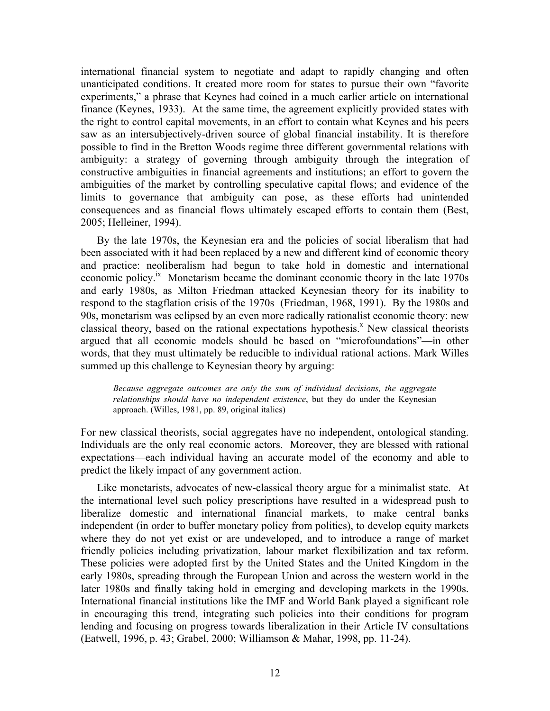international financial system to negotiate and adapt to rapidly changing and often unanticipated conditions. It created more room for states to pursue their own "favorite experiments," a phrase that Keynes had coined in a much earlier article on international finance (Keynes, 1933). At the same time, the agreement explicitly provided states with the right to control capital movements, in an effort to contain what Keynes and his peers saw as an intersubjectively-driven source of global financial instability. It is therefore possible to find in the Bretton Woods regime three different governmental relations with ambiguity: a strategy of governing through ambiguity through the integration of constructive ambiguities in financial agreements and institutions; an effort to govern the ambiguities of the market by controlling speculative capital flows; and evidence of the limits to governance that ambiguity can pose, as these efforts had unintended consequences and as financial flows ultimately escaped efforts to contain them (Best, 2005; Helleiner, 1994).

By the late 1970s, the Keynesian era and the policies of social liberalism that had been associated with it had been replaced by a new and different kind of economic theory and practice: neoliberalism had begun to take hold in domestic and international economic policy.<sup>ix</sup> Monetarism became the dominant economic theory in the late 1970s and early 1980s, as Milton Friedman attacked Keynesian theory for its inability to respond to the stagflation crisis of the 1970s (Friedman, 1968, 1991). By the 1980s and 90s, monetarism was eclipsed by an even more radically rationalist economic theory: new classical theory, based on the rational expectations hypothesis.<sup> $x$ </sup> New classical theorists argued that all economic models should be based on "microfoundations"—in other words, that they must ultimately be reducible to individual rational actions. Mark Willes summed up this challenge to Keynesian theory by arguing:

*Because aggregate outcomes are only the sum of individual decisions, the aggregate relationships should have no independent existence*, but they do under the Keynesian approach. (Willes, 1981, pp. 89, original italics)

For new classical theorists, social aggregates have no independent, ontological standing. Individuals are the only real economic actors. Moreover, they are blessed with rational expectations—each individual having an accurate model of the economy and able to predict the likely impact of any government action.

Like monetarists, advocates of new-classical theory argue for a minimalist state. At the international level such policy prescriptions have resulted in a widespread push to liberalize domestic and international financial markets, to make central banks independent (in order to buffer monetary policy from politics), to develop equity markets where they do not yet exist or are undeveloped, and to introduce a range of market friendly policies including privatization, labour market flexibilization and tax reform. These policies were adopted first by the United States and the United Kingdom in the early 1980s, spreading through the European Union and across the western world in the later 1980s and finally taking hold in emerging and developing markets in the 1990s. International financial institutions like the IMF and World Bank played a significant role in encouraging this trend, integrating such policies into their conditions for program lending and focusing on progress towards liberalization in their Article IV consultations (Eatwell, 1996, p. 43; Grabel, 2000; Williamson & Mahar, 1998, pp. 11-24).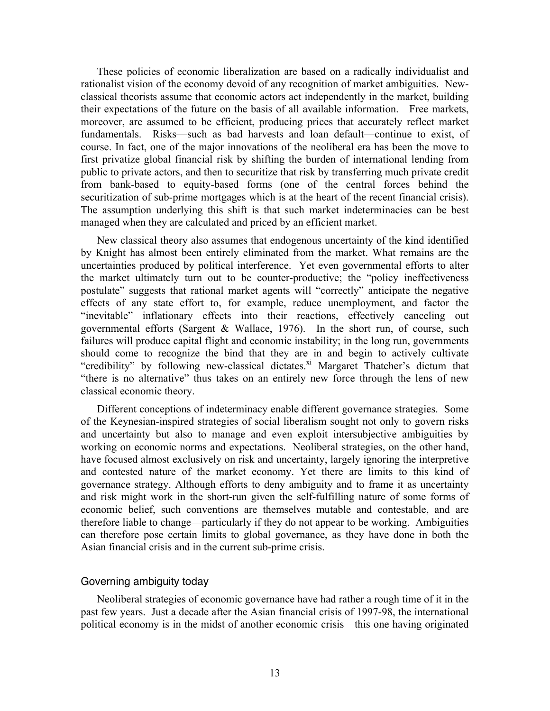These policies of economic liberalization are based on a radically individualist and rationalist vision of the economy devoid of any recognition of market ambiguities. Newclassical theorists assume that economic actors act independently in the market, building their expectations of the future on the basis of all available information. Free markets, moreover, are assumed to be efficient, producing prices that accurately reflect market fundamentals. Risks—such as bad harvests and loan default—continue to exist, of course. In fact, one of the major innovations of the neoliberal era has been the move to first privatize global financial risk by shifting the burden of international lending from public to private actors, and then to securitize that risk by transferring much private credit from bank-based to equity-based forms (one of the central forces behind the securitization of sub-prime mortgages which is at the heart of the recent financial crisis). The assumption underlying this shift is that such market indeterminacies can be best managed when they are calculated and priced by an efficient market.

New classical theory also assumes that endogenous uncertainty of the kind identified by Knight has almost been entirely eliminated from the market. What remains are the uncertainties produced by political interference. Yet even governmental efforts to alter the market ultimately turn out to be counter-productive; the "policy ineffectiveness postulate" suggests that rational market agents will "correctly" anticipate the negative effects of any state effort to, for example, reduce unemployment, and factor the "inevitable" inflationary effects into their reactions, effectively canceling out governmental efforts (Sargent & Wallace, 1976). In the short run, of course, such failures will produce capital flight and economic instability; in the long run, governments should come to recognize the bind that they are in and begin to actively cultivate "credibility" by following new-classical dictates.<sup>xi</sup> Margaret Thatcher's dictum that "there is no alternative" thus takes on an entirely new force through the lens of new classical economic theory.

Different conceptions of indeterminacy enable different governance strategies. Some of the Keynesian-inspired strategies of social liberalism sought not only to govern risks and uncertainty but also to manage and even exploit intersubjective ambiguities by working on economic norms and expectations. Neoliberal strategies, on the other hand, have focused almost exclusively on risk and uncertainty, largely ignoring the interpretive and contested nature of the market economy. Yet there are limits to this kind of governance strategy. Although efforts to deny ambiguity and to frame it as uncertainty and risk might work in the short-run given the self-fulfilling nature of some forms of economic belief, such conventions are themselves mutable and contestable, and are therefore liable to change—particularly if they do not appear to be working. Ambiguities can therefore pose certain limits to global governance, as they have done in both the Asian financial crisis and in the current sub-prime crisis.

### Governing ambiguity today

Neoliberal strategies of economic governance have had rather a rough time of it in the past few years. Just a decade after the Asian financial crisis of 1997-98, the international political economy is in the midst of another economic crisis—this one having originated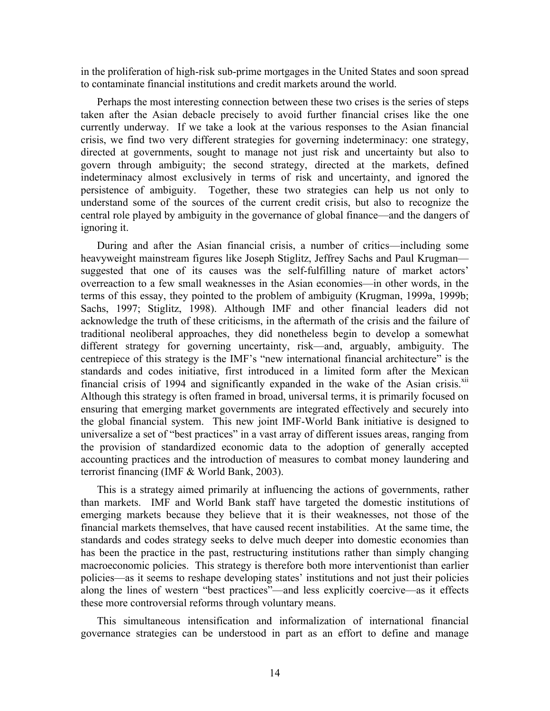in the proliferation of high-risk sub-prime mortgages in the United States and soon spread to contaminate financial institutions and credit markets around the world.

Perhaps the most interesting connection between these two crises is the series of steps taken after the Asian debacle precisely to avoid further financial crises like the one currently underway. If we take a look at the various responses to the Asian financial crisis, we find two very different strategies for governing indeterminacy: one strategy, directed at governments, sought to manage not just risk and uncertainty but also to govern through ambiguity; the second strategy, directed at the markets, defined indeterminacy almost exclusively in terms of risk and uncertainty, and ignored the persistence of ambiguity. Together, these two strategies can help us not only to understand some of the sources of the current credit crisis, but also to recognize the central role played by ambiguity in the governance of global finance—and the dangers of ignoring it.

During and after the Asian financial crisis, a number of critics—including some heavyweight mainstream figures like Joseph Stiglitz, Jeffrey Sachs and Paul Krugman suggested that one of its causes was the self-fulfilling nature of market actors' overreaction to a few small weaknesses in the Asian economies—in other words, in the terms of this essay, they pointed to the problem of ambiguity (Krugman, 1999a, 1999b; Sachs, 1997; Stiglitz, 1998). Although IMF and other financial leaders did not acknowledge the truth of these criticisms, in the aftermath of the crisis and the failure of traditional neoliberal approaches, they did nonetheless begin to develop a somewhat different strategy for governing uncertainty, risk—and, arguably, ambiguity. The centrepiece of this strategy is the IMF's "new international financial architecture" is the standards and codes initiative, first introduced in a limited form after the Mexican financial crisis of 1994 and significantly expanded in the wake of the Asian crisis. $\frac{xi}{10}$ Although this strategy is often framed in broad, universal terms, it is primarily focused on ensuring that emerging market governments are integrated effectively and securely into the global financial system. This new joint IMF-World Bank initiative is designed to universalize a set of "best practices" in a vast array of different issues areas, ranging from the provision of standardized economic data to the adoption of generally accepted accounting practices and the introduction of measures to combat money laundering and terrorist financing (IMF & World Bank, 2003).

This is a strategy aimed primarily at influencing the actions of governments, rather than markets. IMF and World Bank staff have targeted the domestic institutions of emerging markets because they believe that it is their weaknesses, not those of the financial markets themselves, that have caused recent instabilities. At the same time, the standards and codes strategy seeks to delve much deeper into domestic economies than has been the practice in the past, restructuring institutions rather than simply changing macroeconomic policies. This strategy is therefore both more interventionist than earlier policies—as it seems to reshape developing states' institutions and not just their policies along the lines of western "best practices"—and less explicitly coercive—as it effects these more controversial reforms through voluntary means.

This simultaneous intensification and informalization of international financial governance strategies can be understood in part as an effort to define and manage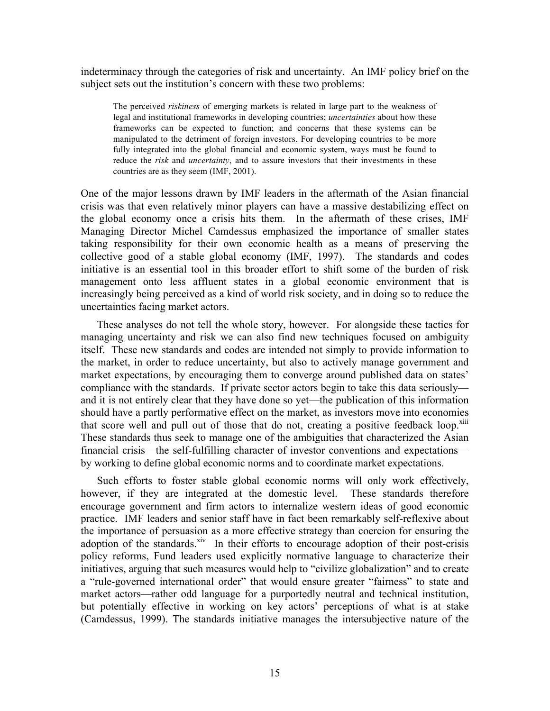indeterminacy through the categories of risk and uncertainty. An IMF policy brief on the subject sets out the institution's concern with these two problems:

The perceived *riskiness* of emerging markets is related in large part to the weakness of legal and institutional frameworks in developing countries; *uncertainties* about how these frameworks can be expected to function; and concerns that these systems can be manipulated to the detriment of foreign investors. For developing countries to be more fully integrated into the global financial and economic system, ways must be found to reduce the *risk* and *uncertainty*, and to assure investors that their investments in these countries are as they seem (IMF, 2001).

One of the major lessons drawn by IMF leaders in the aftermath of the Asian financial crisis was that even relatively minor players can have a massive destabilizing effect on the global economy once a crisis hits them. In the aftermath of these crises, IMF Managing Director Michel Camdessus emphasized the importance of smaller states taking responsibility for their own economic health as a means of preserving the collective good of a stable global economy (IMF, 1997). The standards and codes initiative is an essential tool in this broader effort to shift some of the burden of risk management onto less affluent states in a global economic environment that is increasingly being perceived as a kind of world risk society, and in doing so to reduce the uncertainties facing market actors.

These analyses do not tell the whole story, however. For alongside these tactics for managing uncertainty and risk we can also find new techniques focused on ambiguity itself. These new standards and codes are intended not simply to provide information to the market, in order to reduce uncertainty, but also to actively manage government and market expectations, by encouraging them to converge around published data on states' compliance with the standards. If private sector actors begin to take this data seriously and it is not entirely clear that they have done so yet—the publication of this information should have a partly performative effect on the market, as investors move into economies that score well and pull out of those that do not, creating a positive feedback loop.<sup>xiii</sup> These standards thus seek to manage one of the ambiguities that characterized the Asian financial crisis—the self-fulfilling character of investor conventions and expectations by working to define global economic norms and to coordinate market expectations.

Such efforts to foster stable global economic norms will only work effectively, however, if they are integrated at the domestic level. These standards therefore encourage government and firm actors to internalize western ideas of good economic practice. IMF leaders and senior staff have in fact been remarkably self-reflexive about the importance of persuasion as a more effective strategy than coercion for ensuring the adoption of the standards.<sup>xiv</sup> In their efforts to encourage adoption of their post-crisis policy reforms, Fund leaders used explicitly normative language to characterize their initiatives, arguing that such measures would help to "civilize globalization" and to create a "rule-governed international order" that would ensure greater "fairness" to state and market actors—rather odd language for a purportedly neutral and technical institution, but potentially effective in working on key actors' perceptions of what is at stake (Camdessus, 1999). The standards initiative manages the intersubjective nature of the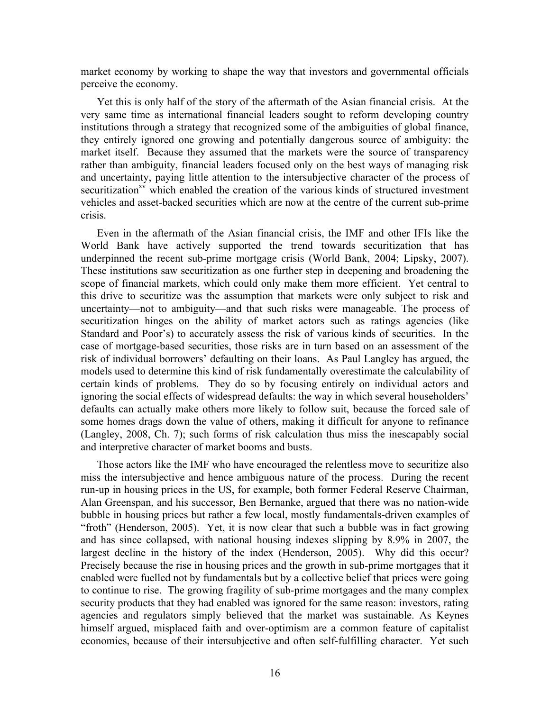market economy by working to shape the way that investors and governmental officials perceive the economy.

Yet this is only half of the story of the aftermath of the Asian financial crisis. At the very same time as international financial leaders sought to reform developing country institutions through a strategy that recognized some of the ambiguities of global finance, they entirely ignored one growing and potentially dangerous source of ambiguity: the market itself. Because they assumed that the markets were the source of transparency rather than ambiguity, financial leaders focused only on the best ways of managing risk and uncertainty, paying little attention to the intersubjective character of the process of securitization<sup>xv</sup> which enabled the creation of the various kinds of structured investment vehicles and asset-backed securities which are now at the centre of the current sub-prime crisis.

Even in the aftermath of the Asian financial crisis, the IMF and other IFIs like the World Bank have actively supported the trend towards securitization that has underpinned the recent sub-prime mortgage crisis (World Bank, 2004; Lipsky, 2007). These institutions saw securitization as one further step in deepening and broadening the scope of financial markets, which could only make them more efficient. Yet central to this drive to securitize was the assumption that markets were only subject to risk and uncertainty—not to ambiguity—and that such risks were manageable. The process of securitization hinges on the ability of market actors such as ratings agencies (like Standard and Poor's) to accurately assess the risk of various kinds of securities. In the case of mortgage-based securities, those risks are in turn based on an assessment of the risk of individual borrowers' defaulting on their loans. As Paul Langley has argued, the models used to determine this kind of risk fundamentally overestimate the calculability of certain kinds of problems. They do so by focusing entirely on individual actors and ignoring the social effects of widespread defaults: the way in which several householders' defaults can actually make others more likely to follow suit, because the forced sale of some homes drags down the value of others, making it difficult for anyone to refinance (Langley, 2008, Ch. 7); such forms of risk calculation thus miss the inescapably social and interpretive character of market booms and busts.

Those actors like the IMF who have encouraged the relentless move to securitize also miss the intersubjective and hence ambiguous nature of the process. During the recent run-up in housing prices in the US, for example, both former Federal Reserve Chairman, Alan Greenspan, and his successor, Ben Bernanke, argued that there was no nation-wide bubble in housing prices but rather a few local, mostly fundamentals-driven examples of "froth" (Henderson, 2005). Yet, it is now clear that such a bubble was in fact growing and has since collapsed, with national housing indexes slipping by 8.9% in 2007, the largest decline in the history of the index (Henderson, 2005). Why did this occur? Precisely because the rise in housing prices and the growth in sub-prime mortgages that it enabled were fuelled not by fundamentals but by a collective belief that prices were going to continue to rise. The growing fragility of sub-prime mortgages and the many complex security products that they had enabled was ignored for the same reason: investors, rating agencies and regulators simply believed that the market was sustainable. As Keynes himself argued, misplaced faith and over-optimism are a common feature of capitalist economies, because of their intersubjective and often self-fulfilling character. Yet such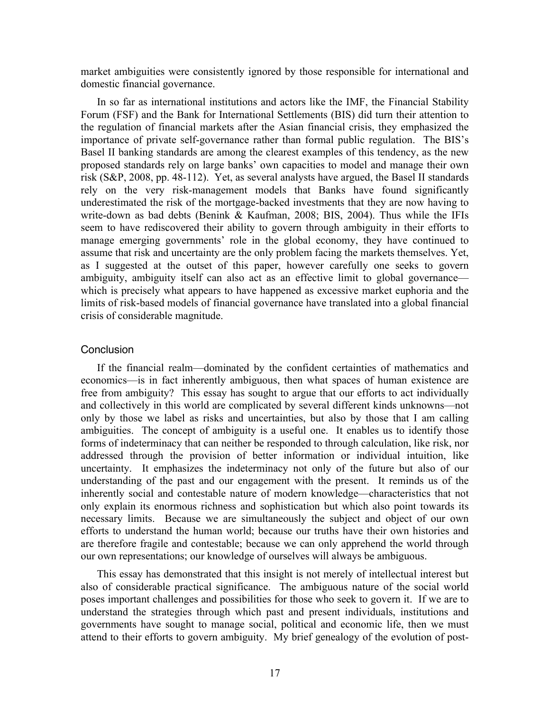market ambiguities were consistently ignored by those responsible for international and domestic financial governance.

In so far as international institutions and actors like the IMF, the Financial Stability Forum (FSF) and the Bank for International Settlements (BIS) did turn their attention to the regulation of financial markets after the Asian financial crisis, they emphasized the importance of private self-governance rather than formal public regulation. The BIS's Basel II banking standards are among the clearest examples of this tendency, as the new proposed standards rely on large banks' own capacities to model and manage their own risk (S&P, 2008, pp. 48-112). Yet, as several analysts have argued, the Basel II standards rely on the very risk-management models that Banks have found significantly underestimated the risk of the mortgage-backed investments that they are now having to write-down as bad debts (Benink & Kaufman, 2008; BIS, 2004). Thus while the IFIs seem to have rediscovered their ability to govern through ambiguity in their efforts to manage emerging governments' role in the global economy, they have continued to assume that risk and uncertainty are the only problem facing the markets themselves. Yet, as I suggested at the outset of this paper, however carefully one seeks to govern ambiguity, ambiguity itself can also act as an effective limit to global governance which is precisely what appears to have happened as excessive market euphoria and the limits of risk-based models of financial governance have translated into a global financial crisis of considerable magnitude.

#### **Conclusion**

If the financial realm—dominated by the confident certainties of mathematics and economics—is in fact inherently ambiguous, then what spaces of human existence are free from ambiguity? This essay has sought to argue that our efforts to act individually and collectively in this world are complicated by several different kinds unknowns—not only by those we label as risks and uncertainties, but also by those that I am calling ambiguities. The concept of ambiguity is a useful one. It enables us to identify those forms of indeterminacy that can neither be responded to through calculation, like risk, nor addressed through the provision of better information or individual intuition, like uncertainty. It emphasizes the indeterminacy not only of the future but also of our understanding of the past and our engagement with the present. It reminds us of the inherently social and contestable nature of modern knowledge—characteristics that not only explain its enormous richness and sophistication but which also point towards its necessary limits. Because we are simultaneously the subject and object of our own efforts to understand the human world; because our truths have their own histories and are therefore fragile and contestable; because we can only apprehend the world through our own representations; our knowledge of ourselves will always be ambiguous.

This essay has demonstrated that this insight is not merely of intellectual interest but also of considerable practical significance. The ambiguous nature of the social world poses important challenges and possibilities for those who seek to govern it. If we are to understand the strategies through which past and present individuals, institutions and governments have sought to manage social, political and economic life, then we must attend to their efforts to govern ambiguity. My brief genealogy of the evolution of post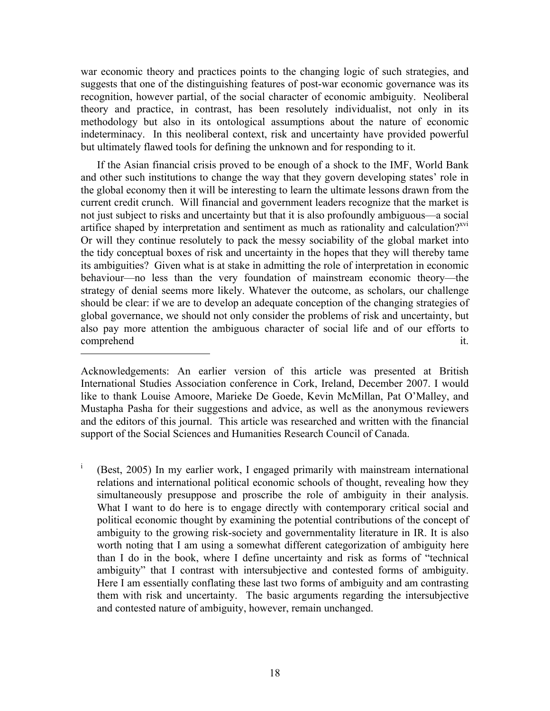war economic theory and practices points to the changing logic of such strategies, and suggests that one of the distinguishing features of post-war economic governance was its recognition, however partial, of the social character of economic ambiguity. Neoliberal theory and practice, in contrast, has been resolutely individualist, not only in its methodology but also in its ontological assumptions about the nature of economic indeterminacy. In this neoliberal context, risk and uncertainty have provided powerful but ultimately flawed tools for defining the unknown and for responding to it.

If the Asian financial crisis proved to be enough of a shock to the IMF, World Bank and other such institutions to change the way that they govern developing states' role in the global economy then it will be interesting to learn the ultimate lessons drawn from the current credit crunch. Will financial and government leaders recognize that the market is not just subject to risks and uncertainty but that it is also profoundly ambiguous—a social artifice shaped by interpretation and sentiment as much as rationality and calculation? $x^{x}$ Or will they continue resolutely to pack the messy sociability of the global market into the tidy conceptual boxes of risk and uncertainty in the hopes that they will thereby tame its ambiguities? Given what is at stake in admitting the role of interpretation in economic behaviour—no less than the very foundation of mainstream economic theory—the strategy of denial seems more likely. Whatever the outcome, as scholars, our challenge should be clear: if we are to develop an adequate conception of the changing strategies of global governance, we should not only consider the problems of risk and uncertainty, but also pay more attention the ambiguous character of social life and of our efforts to comprehend it.

 $\overline{a}$ 

 $\mu$ <sup>i</sup> (Best, 2005) In my earlier work, I engaged primarily with mainstream international relations and international political economic schools of thought, revealing how they simultaneously presuppose and proscribe the role of ambiguity in their analysis. What I want to do here is to engage directly with contemporary critical social and political economic thought by examining the potential contributions of the concept of ambiguity to the growing risk-society and governmentality literature in IR. It is also worth noting that I am using a somewhat different categorization of ambiguity here than I do in the book, where I define uncertainty and risk as forms of "technical ambiguity" that I contrast with intersubjective and contested forms of ambiguity. Here I am essentially conflating these last two forms of ambiguity and am contrasting them with risk and uncertainty. The basic arguments regarding the intersubjective and contested nature of ambiguity, however, remain unchanged.

Acknowledgements: An earlier version of this article was presented at British International Studies Association conference in Cork, Ireland, December 2007. I would like to thank Louise Amoore, Marieke De Goede, Kevin McMillan, Pat O'Malley, and Mustapha Pasha for their suggestions and advice, as well as the anonymous reviewers and the editors of this journal. This article was researched and written with the financial support of the Social Sciences and Humanities Research Council of Canada.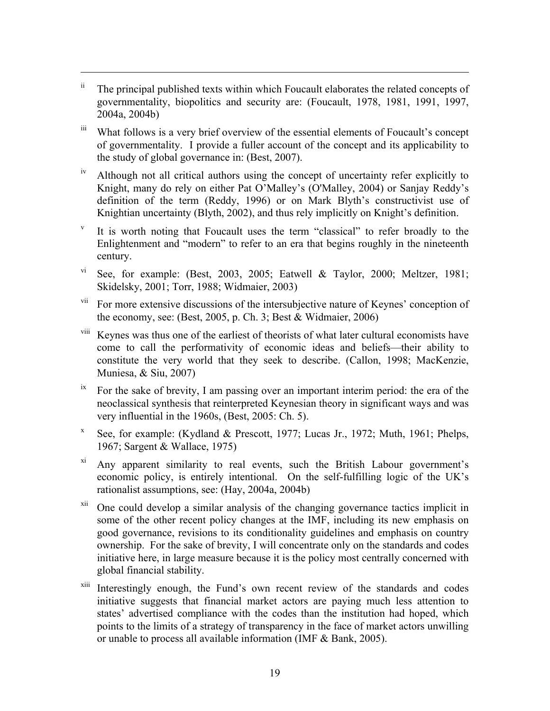$\ddot{\text{h}}$  The principal published texts within which Foucault elaborates the related concepts of governmentality, biopolitics and security are: (Foucault, 1978, 1981, 1991, 1997, 2004a, 2004b)

 $\overline{a}$ 

- iii What follows is a very brief overview of the essential elements of Foucault's concept of governmentality. I provide a fuller account of the concept and its applicability to the study of global governance in: (Best, 2007).
- $\mu$ <sup>iv</sup> Although not all critical authors using the concept of uncertainty refer explicitly to Knight, many do rely on either Pat O'Malley's (O'Malley, 2004) or Sanjay Reddy's definition of the term (Reddy, 1996) or on Mark Blyth's constructivist use of Knightian uncertainty (Blyth, 2002), and thus rely implicitly on Knight's definition.
- $\overline{v}$  It is worth noting that Foucault uses the term "classical" to refer broadly to the Enlightenment and "modern" to refer to an era that begins roughly in the nineteenth century.
- <sup>vi</sup> See, for example: (Best, 2003, 2005; Eatwell & Taylor, 2000; Meltzer, 1981; Skidelsky, 2001; Torr, 1988; Widmaier, 2003)
- vii For more extensive discussions of the intersubjective nature of Keynes' conception of the economy, see: (Best, 2005, p. Ch. 3; Best & Widmaier, 2006)
- <sup>viii</sup> Keynes was thus one of the earliest of theorists of what later cultural economists have come to call the performativity of economic ideas and beliefs—their ability to constitute the very world that they seek to describe. (Callon, 1998; MacKenzie, Muniesa, & Siu, 2007)
- $\mu$ <sup>ix</sup> For the sake of brevity, I am passing over an important interim period: the era of the neoclassical synthesis that reinterpreted Keynesian theory in significant ways and was very influential in the 1960s, (Best, 2005: Ch. 5).
- <sup>x</sup> See, for example: (Kydland & Prescott, 1977; Lucas Jr., 1972; Muth, 1961; Phelps, 1967; Sargent & Wallace, 1975)
- $x_i$  Any apparent similarity to real events, such the British Labour government's economic policy, is entirely intentional. On the self-fulfilling logic of the UK's rationalist assumptions, see: (Hay, 2004a, 2004b)
- $xii$  One could develop a similar analysis of the changing governance tactics implicit in some of the other recent policy changes at the IMF, including its new emphasis on good governance, revisions to its conditionality guidelines and emphasis on country ownership. For the sake of brevity, I will concentrate only on the standards and codes initiative here, in large measure because it is the policy most centrally concerned with global financial stability.
- xiii Interestingly enough, the Fund's own recent review of the standards and codes initiative suggests that financial market actors are paying much less attention to states' advertised compliance with the codes than the institution had hoped, which points to the limits of a strategy of transparency in the face of market actors unwilling or unable to process all available information (IMF & Bank, 2005).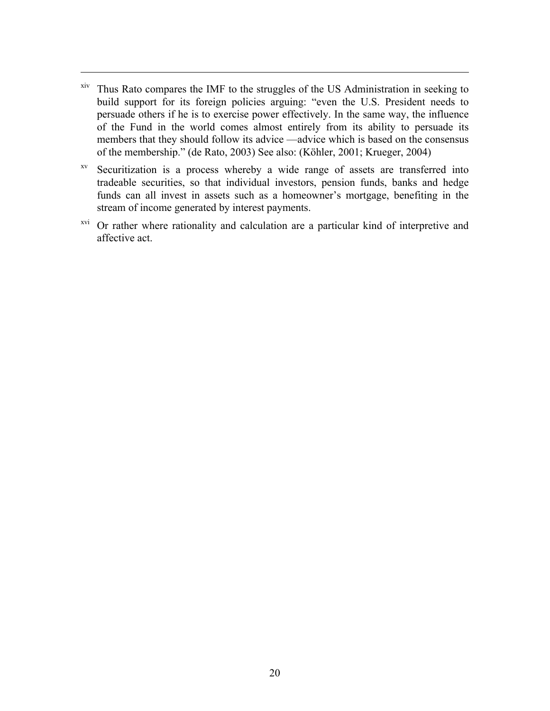<sup>xiv</sup> Thus Rato compares the IMF to the struggles of the US Administration in seeking to build support for its foreign policies arguing: "even the U.S. President needs to persuade others if he is to exercise power effectively. In the same way, the influence of the Fund in the world comes almost entirely from its ability to persuade its members that they should follow its advice —advice which is based on the consensus of the membership." (de Rato, 2003) See also: (Köhler, 2001; Krueger, 2004)

 $\overline{a}$ 

- xv Securitization is a process whereby a wide range of assets are transferred into tradeable securities, so that individual investors, pension funds, banks and hedge funds can all invest in assets such as a homeowner's mortgage, benefiting in the stream of income generated by interest payments.
- <sup>xvi</sup> Or rather where rationality and calculation are a particular kind of interpretive and affective act.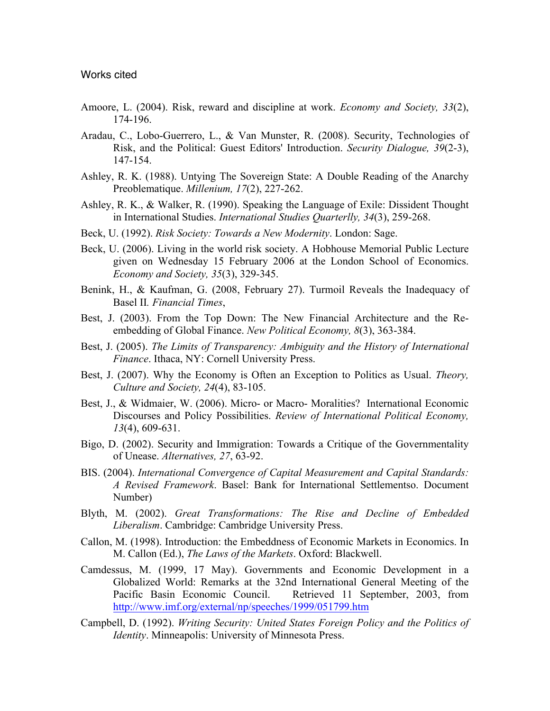- Amoore, L. (2004). Risk, reward and discipline at work. *Economy and Society, 33*(2), 174-196.
- Aradau, C., Lobo-Guerrero, L., & Van Munster, R. (2008). Security, Technologies of Risk, and the Political: Guest Editors' Introduction. *Security Dialogue, 39*(2-3), 147-154.
- Ashley, R. K. (1988). Untying The Sovereign State: A Double Reading of the Anarchy Preoblematique. *Millenium, 17*(2), 227-262.
- Ashley, R. K., & Walker, R. (1990). Speaking the Language of Exile: Dissident Thought in International Studies. *International Studies Quarterlly, 34*(3), 259-268.
- Beck, U. (1992). *Risk Society: Towards a New Modernity*. London: Sage.
- Beck, U. (2006). Living in the world risk society. A Hobhouse Memorial Public Lecture given on Wednesday 15 February 2006 at the London School of Economics. *Economy and Society, 35*(3), 329-345.
- Benink, H., & Kaufman, G. (2008, February 27). Turmoil Reveals the Inadequacy of Basel II*. Financial Times*,
- Best, J. (2003). From the Top Down: The New Financial Architecture and the Reembedding of Global Finance. *New Political Economy, 8*(3), 363-384.
- Best, J. (2005). *The Limits of Transparency: Ambiguity and the History of International Finance*. Ithaca, NY: Cornell University Press.
- Best, J. (2007). Why the Economy is Often an Exception to Politics as Usual. *Theory, Culture and Society, 24*(4), 83-105.
- Best, J., & Widmaier, W. (2006). Micro- or Macro- Moralities? International Economic Discourses and Policy Possibilities. *Review of International Political Economy, 13*(4), 609-631.
- Bigo, D. (2002). Security and Immigration: Towards a Critique of the Governmentality of Unease. *Alternatives, 27*, 63-92.
- BIS. (2004). *International Convergence of Capital Measurement and Capital Standards: A Revised Framework*. Basel: Bank for International Settlementso. Document Number)
- Blyth, M. (2002). *Great Transformations: The Rise and Decline of Embedded Liberalism*. Cambridge: Cambridge University Press.
- Callon, M. (1998). Introduction: the Embeddness of Economic Markets in Economics. In M. Callon (Ed.), *The Laws of the Markets*. Oxford: Blackwell.
- Camdessus, M. (1999, 17 May). Governments and Economic Development in a Globalized World: Remarks at the 32nd International General Meeting of the Pacific Basin Economic Council. Retrieved 11 September, 2003, from http://www.imf.org/external/np/speeches/1999/051799.htm
- Campbell, D. (1992). *Writing Security: United States Foreign Policy and the Politics of Identity*. Minneapolis: University of Minnesota Press.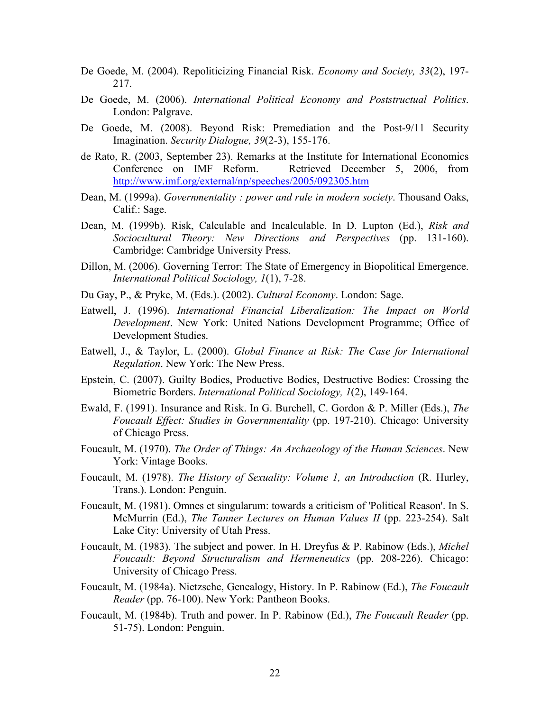- De Goede, M. (2004). Repoliticizing Financial Risk. *Economy and Society, 33*(2), 197- 217.
- De Goede, M. (2006). *International Political Economy and Poststructual Politics*. London: Palgrave.
- De Goede, M. (2008). Beyond Risk: Premediation and the Post-9/11 Security Imagination. *Security Dialogue, 39*(2-3), 155-176.
- de Rato, R. (2003, September 23). Remarks at the Institute for International Economics Conference on IMF Reform. Retrieved December 5, 2006, from http://www.imf.org/external/np/speeches/2005/092305.htm
- Dean, M. (1999a). *Governmentality : power and rule in modern society*. Thousand Oaks, Calif.: Sage.
- Dean, M. (1999b). Risk, Calculable and Incalculable. In D. Lupton (Ed.), *Risk and Sociocultural Theory: New Directions and Perspectives* (pp. 131-160). Cambridge: Cambridge University Press.
- Dillon, M. (2006). Governing Terror: The State of Emergency in Biopolitical Emergence. *International Political Sociology, 1*(1), 7-28.
- Du Gay, P., & Pryke, M. (Eds.). (2002). *Cultural Economy*. London: Sage.
- Eatwell, J. (1996). *International Financial Liberalization: The Impact on World Development*. New York: United Nations Development Programme; Office of Development Studies.
- Eatwell, J., & Taylor, L. (2000). *Global Finance at Risk: The Case for International Regulation*. New York: The New Press.
- Epstein, C. (2007). Guilty Bodies, Productive Bodies, Destructive Bodies: Crossing the Biometric Borders. *International Political Sociology, 1*(2), 149-164.
- Ewald, F. (1991). Insurance and Risk. In G. Burchell, C. Gordon & P. Miller (Eds.), *The Foucault Effect: Studies in Governmentality* (pp. 197-210). Chicago: University of Chicago Press.
- Foucault, M. (1970). *The Order of Things: An Archaeology of the Human Sciences*. New York: Vintage Books.
- Foucault, M. (1978). *The History of Sexuality: Volume 1, an Introduction* (R. Hurley, Trans.). London: Penguin.
- Foucault, M. (1981). Omnes et singularum: towards a criticism of 'Political Reason'. In S. McMurrin (Ed.), *The Tanner Lectures on Human Values II* (pp. 223-254). Salt Lake City: University of Utah Press.
- Foucault, M. (1983). The subject and power. In H. Dreyfus & P. Rabinow (Eds.), *Michel Foucault: Beyond Structuralism and Hermeneutics* (pp. 208-226). Chicago: University of Chicago Press.
- Foucault, M. (1984a). Nietzsche, Genealogy, History. In P. Rabinow (Ed.), *The Foucault Reader* (pp. 76-100). New York: Pantheon Books.
- Foucault, M. (1984b). Truth and power. In P. Rabinow (Ed.), *The Foucault Reader* (pp. 51-75). London: Penguin.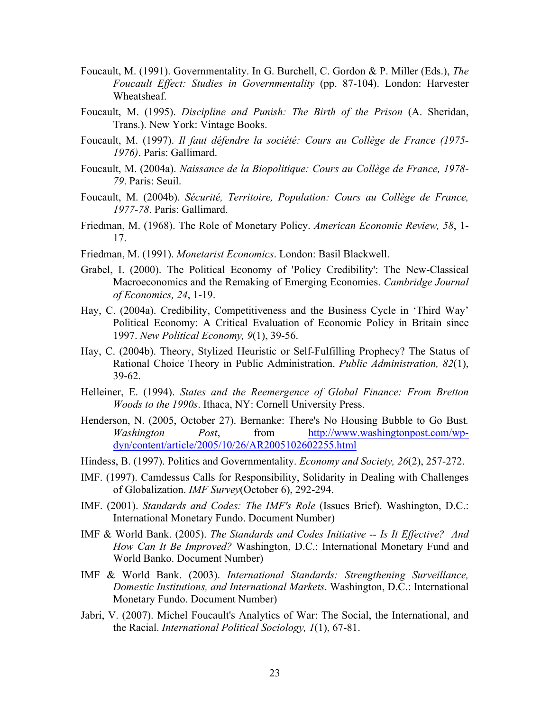- Foucault, M. (1991). Governmentality. In G. Burchell, C. Gordon & P. Miller (Eds.), *The Foucault Effect: Studies in Governmentality* (pp. 87-104). London: Harvester Wheatsheaf.
- Foucault, M. (1995). *Discipline and Punish: The Birth of the Prison* (A. Sheridan, Trans.). New York: Vintage Books.
- Foucault, M. (1997). *Il faut défendre la société: Cours au Collège de France (1975- 1976)*. Paris: Gallimard.
- Foucault, M. (2004a). *Naissance de la Biopolitique: Cours au Collège de France, 1978- 79*. Paris: Seuil.
- Foucault, M. (2004b). *Sécurité, Territoire, Population: Cours au Collège de France, 1977-78*. Paris: Gallimard.
- Friedman, M. (1968). The Role of Monetary Policy. *American Economic Review, 58*, 1- 17.
- Friedman, M. (1991). *Monetarist Economics*. London: Basil Blackwell.
- Grabel, I. (2000). The Political Economy of 'Policy Credibility': The New-Classical Macroeconomics and the Remaking of Emerging Economies. *Cambridge Journal of Economics, 24*, 1-19.
- Hay, C. (2004a). Credibility, Competitiveness and the Business Cycle in 'Third Way' Political Economy: A Critical Evaluation of Economic Policy in Britain since 1997. *New Political Economy, 9*(1), 39-56.
- Hay, C. (2004b). Theory, Stylized Heuristic or Self-Fulfilling Prophecy? The Status of Rational Choice Theory in Public Administration. *Public Administration, 82*(1), 39-62.
- Helleiner, E. (1994). *States and the Reemergence of Global Finance: From Bretton Woods to the 1990s*. Ithaca, NY: Cornell University Press.
- Henderson, N. (2005, October 27). Bernanke: There's No Housing Bubble to Go Bust*. Washington Post*, from http://www.washingtonpost.com/wpdyn/content/article/2005/10/26/AR2005102602255.html
- Hindess, B. (1997). Politics and Governmentality. *Economy and Society, 26*(2), 257-272.
- IMF. (1997). Camdessus Calls for Responsibility, Solidarity in Dealing with Challenges of Globalization. *IMF Survey*(October 6), 292-294.
- IMF. (2001). *Standards and Codes: The IMF's Role* (Issues Brief). Washington, D.C.: International Monetary Fundo. Document Number)
- IMF & World Bank. (2005). *The Standards and Codes Initiative -- Is It Effective? And How Can It Be Improved?* Washington, D.C.: International Monetary Fund and World Banko. Document Number)
- IMF & World Bank. (2003). *International Standards: Strengthening Surveillance, Domestic Institutions, and International Markets*. Washington, D.C.: International Monetary Fundo. Document Number)
- Jabri, V. (2007). Michel Foucault's Analytics of War: The Social, the International, and the Racial. *International Political Sociology, 1*(1), 67-81.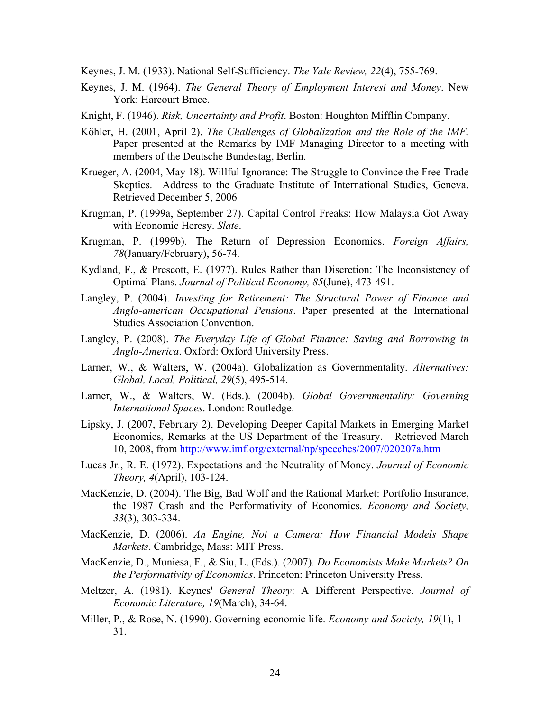Keynes, J. M. (1933). National Self-Sufficiency. *The Yale Review, 22*(4), 755-769.

- Keynes, J. M. (1964). *The General Theory of Employment Interest and Money*. New York: Harcourt Brace.
- Knight, F. (1946). *Risk, Uncertainty and Profit*. Boston: Houghton Mifflin Company.
- Köhler, H. (2001, April 2). *The Challenges of Globalization and the Role of the IMF.* Paper presented at the Remarks by IMF Managing Director to a meeting with members of the Deutsche Bundestag, Berlin.
- Krueger, A. (2004, May 18). Willful Ignorance: The Struggle to Convince the Free Trade Skeptics. Address to the Graduate Institute of International Studies, Geneva. Retrieved December 5, 2006
- Krugman, P. (1999a, September 27). Capital Control Freaks: How Malaysia Got Away with Economic Heresy. *Slate*.
- Krugman, P. (1999b). The Return of Depression Economics. *Foreign Affairs, 78*(January/February), 56-74.
- Kydland, F., & Prescott, E. (1977). Rules Rather than Discretion: The Inconsistency of Optimal Plans. *Journal of Political Economy, 85*(June), 473-491.
- Langley, P. (2004). *Investing for Retirement: The Structural Power of Finance and Anglo-american Occupational Pensions*. Paper presented at the International Studies Association Convention.
- Langley, P. (2008). *The Everyday Life of Global Finance: Saving and Borrowing in Anglo-America*. Oxford: Oxford University Press.
- Larner, W., & Walters, W. (2004a). Globalization as Governmentality. *Alternatives: Global, Local, Political, 29*(5), 495-514.
- Larner, W., & Walters, W. (Eds.). (2004b). *Global Governmentality: Governing International Spaces*. London: Routledge.
- Lipsky, J. (2007, February 2). Developing Deeper Capital Markets in Emerging Market Economies, Remarks at the US Department of the Treasury. Retrieved March 10, 2008, from http://www.imf.org/external/np/speeches/2007/020207a.htm
- Lucas Jr., R. E. (1972). Expectations and the Neutrality of Money. *Journal of Economic Theory, 4*(April), 103-124.
- MacKenzie, D. (2004). The Big, Bad Wolf and the Rational Market: Portfolio Insurance, the 1987 Crash and the Performativity of Economics. *Economy and Society, 33*(3), 303-334.
- MacKenzie, D. (2006). *An Engine, Not a Camera: How Financial Models Shape Markets*. Cambridge, Mass: MIT Press.
- MacKenzie, D., Muniesa, F., & Siu, L. (Eds.). (2007). *Do Economists Make Markets? On the Performativity of Economics*. Princeton: Princeton University Press.
- Meltzer, A. (1981). Keynes' *General Theory*: A Different Perspective. *Journal of Economic Literature, 19*(March), 34-64.
- Miller, P., & Rose, N. (1990). Governing economic life. *Economy and Society, 19*(1), 1 31.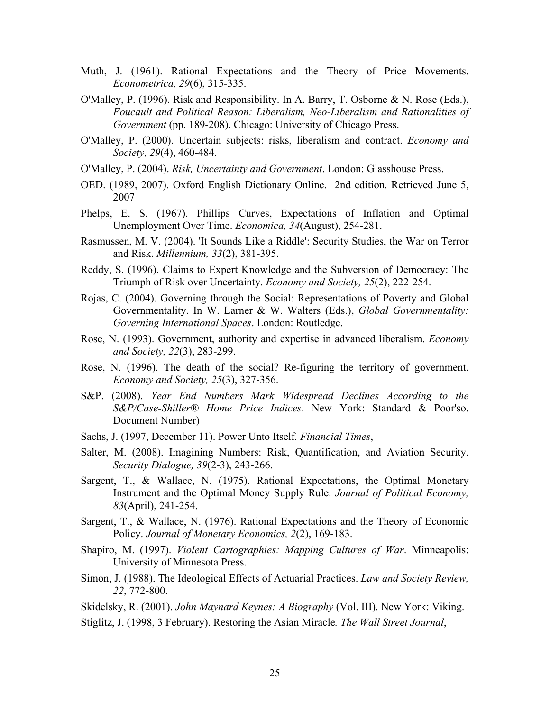- Muth, J. (1961). Rational Expectations and the Theory of Price Movements. *Econometrica, 29*(6), 315-335.
- O'Malley, P. (1996). Risk and Responsibility. In A. Barry, T. Osborne & N. Rose (Eds.), *Foucault and Political Reason: Liberalism, Neo-Liberalism and Rationalities of Government* (pp. 189-208). Chicago: University of Chicago Press.
- O'Malley, P. (2000). Uncertain subjects: risks, liberalism and contract. *Economy and Society, 29*(4), 460-484.
- O'Malley, P. (2004). *Risk, Uncertainty and Government*. London: Glasshouse Press.
- OED. (1989, 2007). Oxford English Dictionary Online. 2nd edition. Retrieved June 5, 2007
- Phelps, E. S. (1967). Phillips Curves, Expectations of Inflation and Optimal Unemployment Over Time. *Economica, 34*(August), 254-281.
- Rasmussen, M. V. (2004). 'It Sounds Like a Riddle': Security Studies, the War on Terror and Risk. *Millennium, 33*(2), 381-395.
- Reddy, S. (1996). Claims to Expert Knowledge and the Subversion of Democracy: The Triumph of Risk over Uncertainty. *Economy and Society, 25*(2), 222-254.
- Rojas, C. (2004). Governing through the Social: Representations of Poverty and Global Governmentality. In W. Larner & W. Walters (Eds.), *Global Governmentality: Governing International Spaces*. London: Routledge.
- Rose, N. (1993). Government, authority and expertise in advanced liberalism. *Economy and Society, 22*(3), 283-299.
- Rose, N. (1996). The death of the social? Re-figuring the territory of government. *Economy and Society, 25*(3), 327-356.
- S&P. (2008). *Year End Numbers Mark Widespread Declines According to the S&P/Case-Shiller® Home Price Indices*. New York: Standard & Poor'so. Document Number)
- Sachs, J. (1997, December 11). Power Unto Itself*. Financial Times*,
- Salter, M. (2008). Imagining Numbers: Risk, Quantification, and Aviation Security. *Security Dialogue, 39*(2-3), 243-266.
- Sargent, T., & Wallace, N. (1975). Rational Expectations, the Optimal Monetary Instrument and the Optimal Money Supply Rule. *Journal of Political Economy, 83*(April), 241-254.
- Sargent, T., & Wallace, N. (1976). Rational Expectations and the Theory of Economic Policy. *Journal of Monetary Economics, 2*(2), 169-183.
- Shapiro, M. (1997). *Violent Cartographies: Mapping Cultures of War*. Minneapolis: University of Minnesota Press.
- Simon, J. (1988). The Ideological Effects of Actuarial Practices. *Law and Society Review, 22*, 772-800.
- Skidelsky, R. (2001). *John Maynard Keynes: A Biography* (Vol. III). New York: Viking.
- Stiglitz, J. (1998, 3 February). Restoring the Asian Miracle*. The Wall Street Journal*,